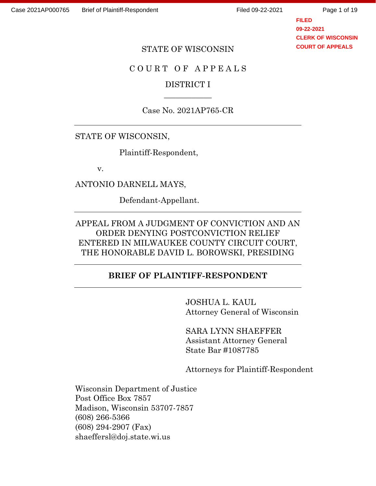Page 1 of 19

**FILED 09-22-2021 CLERK OF WISCONSIN COURT OF APPEALS**

#### STATE OF WISCONSIN

### C O U R T O F A P P E A L S

### DISTRICT I  $\overline{\phantom{a}}$

# Case No. 2021AP765-CR

#### STATE OF WISCONSIN,

Plaintiff-Respondent,

v.

ANTONIO DARNELL MAYS,

Defendant-Appellant.

# APPEAL FROM A JUDGMENT OF CONVICTION AND AN ORDER DENYING POSTCONVICTION RELIEF ENTERED IN MILWAUKEE COUNTY CIRCUIT COURT, THE HONORABLE DAVID L. BOROWSKI, PRESIDING

### **BRIEF OF PLAINTIFF-RESPONDENT**

JOSHUA L. KAUL Attorney General of Wisconsin

SARA LYNN SHAEFFER Assistant Attorney General State Bar #1087785

Attorneys for Plaintiff-Respondent

Wisconsin Department of Justice Post Office Box 7857 Madison, Wisconsin 53707-7857 (608) 266-5366 (608) 294-2907 (Fax) shaeffersl@doj.state.wi.us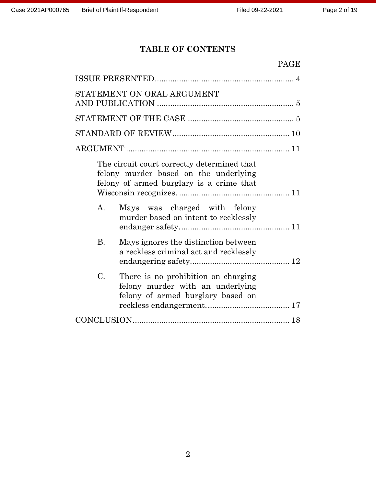# **TABLE OF CONTENTS**

| <b>PAGE</b>                                                                                                                      |  |
|----------------------------------------------------------------------------------------------------------------------------------|--|
|                                                                                                                                  |  |
| STATEMENT ON ORAL ARGUMENT                                                                                                       |  |
|                                                                                                                                  |  |
|                                                                                                                                  |  |
|                                                                                                                                  |  |
| The circuit court correctly determined that<br>felony murder based on the underlying<br>felony of armed burglary is a crime that |  |
| A.<br>Mays was charged with felony<br>murder based on intent to recklessly                                                       |  |
| $\mathbf{B}$ .<br>Mays ignores the distinction between<br>a reckless criminal act and recklessly                                 |  |
| C.<br>There is no prohibition on charging<br>felony murder with an underlying<br>felony of armed burglary based on               |  |
|                                                                                                                                  |  |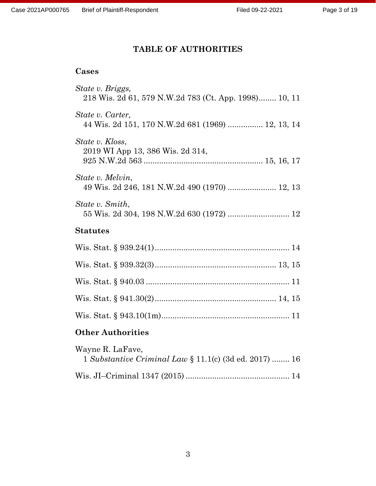# **TABLE OF AUTHORITIES**

### **Cases**

| <b>Statutes</b>                                                           |
|---------------------------------------------------------------------------|
| State v. Smith,<br>55 Wis. 2d 304, 198 N.W.2d 630 (1972)  12              |
| State v. Melvin,<br>49 Wis. 2d 246, 181 N.W.2d 490 (1970)  12, 13         |
| State v. Kloss,<br>2019 WI App 13, 386 Wis. 2d 314,                       |
| State v. Carter,<br>44 Wis. 2d 151, 170 N.W.2d 681 (1969)  12, 13, 14     |
| State v. Briggs,<br>218 Wis. 2d 61, 579 N.W.2d 783 (Ct. App. 1998) 10, 11 |

| Wayne R. LaFave,                                       |  |
|--------------------------------------------------------|--|
| 1 Substantive Criminal Law § 11.1(c) (3d ed. 2017)  16 |  |
|                                                        |  |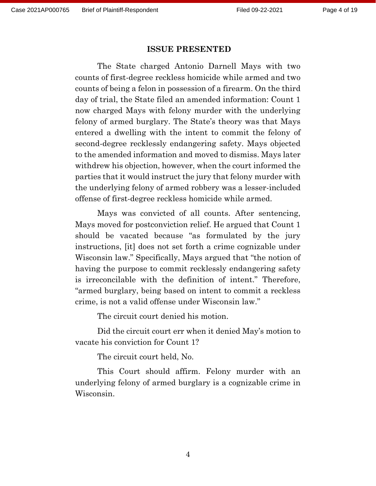#### **ISSUE PRESENTED**

The State charged Antonio Darnell Mays with two counts of first-degree reckless homicide while armed and two counts of being a felon in possession of a firearm. On the third day of trial, the State filed an amended information: Count 1 now charged Mays with felony murder with the underlying felony of armed burglary. The State's theory was that Mays entered a dwelling with the intent to commit the felony of second-degree recklessly endangering safety. Mays objected to the amended information and moved to dismiss. Mays later withdrew his objection, however, when the court informed the parties that it would instruct the jury that felony murder with the underlying felony of armed robbery was a lesser-included offense of first-degree reckless homicide while armed.

Mays was convicted of all counts. After sentencing, Mays moved for postconviction relief. He argued that Count 1 should be vacated because "as formulated by the jury instructions, [it] does not set forth a crime cognizable under Wisconsin law." Specifically, Mays argued that "the notion of having the purpose to commit recklessly endangering safety is irreconcilable with the definition of intent." Therefore, "armed burglary, being based on intent to commit a reckless crime, is not a valid offense under Wisconsin law."

The circuit court denied his motion.

Did the circuit court err when it denied May's motion to vacate his conviction for Count 1?

The circuit court held, No.

This Court should affirm. Felony murder with an underlying felony of armed burglary is a cognizable crime in Wisconsin.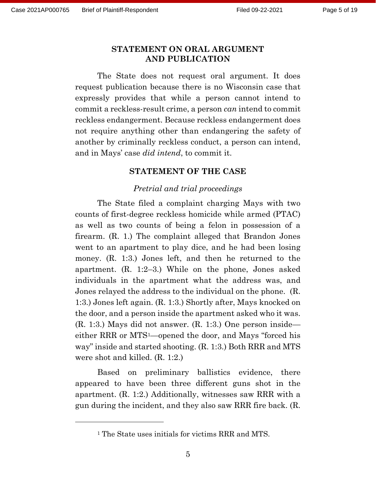### **STATEMENT ON ORAL ARGUMENT AND PUBLICATION**

The State does not request oral argument. It does request publication because there is no Wisconsin case that expressly provides that while a person cannot intend to commit a reckless-result crime, a person *can* intend to commit reckless endangerment. Because reckless endangerment does not require anything other than endangering the safety of another by criminally reckless conduct, a person can intend, and in Mays' case *did intend*, to commit it.

#### **STATEMENT OF THE CASE**

#### *Pretrial and trial proceedings*

The State filed a complaint charging Mays with two counts of first-degree reckless homicide while armed (PTAC) as well as two counts of being a felon in possession of a firearm. (R. 1.) The complaint alleged that Brandon Jones went to an apartment to play dice, and he had been losing money. (R. 1:3.) Jones left, and then he returned to the apartment. (R. 1:2–3.) While on the phone, Jones asked individuals in the apartment what the address was, and Jones relayed the address to the individual on the phone. (R. 1:3.) Jones left again. (R. 1:3.) Shortly after, Mays knocked on the door, and a person inside the apartment asked who it was. (R. 1:3.) Mays did not answer. (R. 1:3.) One person inside either RRR or MTS1—opened the door, and Mays "forced his way" inside and started shooting. (R. 1:3.) Both RRR and MTS were shot and killed. (R. 1:2.)

Based on preliminary ballistics evidence, there appeared to have been three different guns shot in the apartment. (R. 1:2.) Additionally, witnesses saw RRR with a gun during the incident, and they also saw RRR fire back. (R.

<sup>1</sup> The State uses initials for victims RRR and MTS.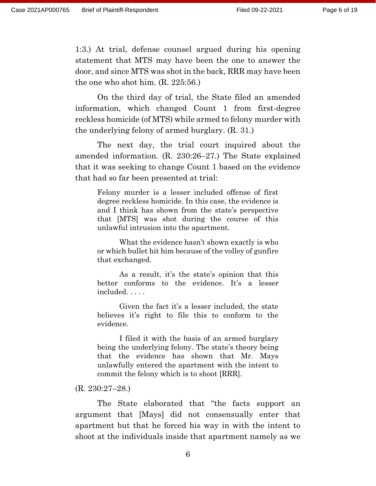1:3.) At trial, defense counsel argued during his opening statement that MTS may have been the one to answer the door, and since MTS was shot in the back, RRR may have been the one who shot him. (R. 225:56.)

On the third day of trial, the State filed an amended information, which changed Count 1 from first-degree reckless homicide (of MTS) while armed to felony murder with the underlying felony of armed burglary. (R. 31.)

The next day, the trial court inquired about the amended information. (R. 230:26–27.) The State explained that it was seeking to change Count 1 based on the evidence that had so far been presented at trial:

Felony murder is a lesser included offense of first degree reckless homicide. In this case, the evidence is and I think has shown from the state's perspective that [MTS] was shot during the course of this unlawful intrusion into the apartment.

What the evidence hasn't shown exactly is who or which bullet hit him because of the volley of gunfire that exchanged.

As a result, it's the state's opinion that this better conforms to the evidence. It's a lesser included. . . . .

Given the fact it's a lesser included, the state believes it's right to file this to conform to the evidence.

I filed it with the basis of an armed burglary being the underlying felony. The state's theory being that the evidence has shown that Mr. Mays unlawfully entered the apartment with the intent to commit the felony which is to shoot [RRR].

### (R. 230:27–28.)

The State elaborated that "the facts support an argument that [Mays] did not consensually enter that apartment but that he forced his way in with the intent to shoot at the individuals inside that apartment namely as we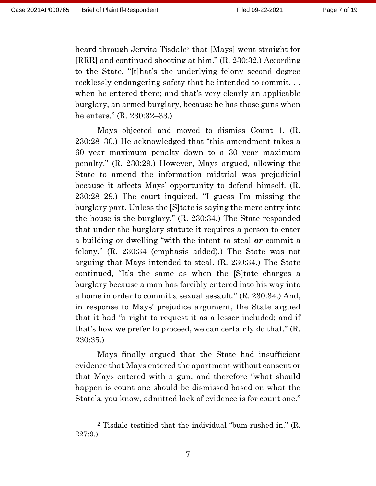heard through Jervita Tisdale<sup>2</sup> that [Mays] went straight for [RRR] and continued shooting at him." (R. 230:32.) According to the State, "[t]hat's the underlying felony second degree recklessly endangering safety that he intended to commit. . . when he entered there; and that's very clearly an applicable burglary, an armed burglary, because he has those guns when he enters." (R. 230:32–33.)

Mays objected and moved to dismiss Count 1. (R. 230:28–30.) He acknowledged that "this amendment takes a 60 year maximum penalty down to a 30 year maximum penalty." (R. 230:29.) However, Mays argued, allowing the State to amend the information midtrial was prejudicial because it affects Mays' opportunity to defend himself. (R. 230:28–29.) The court inquired, "I guess I'm missing the burglary part. Unless the [S]tate is saying the mere entry into the house is the burglary." (R. 230:34.) The State responded that under the burglary statute it requires a person to enter a building or dwelling "with the intent to steal *or* commit a felony." (R. 230:34 (emphasis added).) The State was not arguing that Mays intended to steal. (R. 230:34.) The State continued, "It's the same as when the [S]tate charges a burglary because a man has forcibly entered into his way into a home in order to commit a sexual assault." (R. 230:34.) And, in response to Mays' prejudice argument, the State argued that it had "a right to request it as a lesser included; and if that's how we prefer to proceed, we can certainly do that." (R. 230:35.)

Mays finally argued that the State had insufficient evidence that Mays entered the apartment without consent or that Mays entered with a gun, and therefore "what should happen is count one should be dismissed based on what the State's, you know, admitted lack of evidence is for count one."

<sup>2</sup> Tisdale testified that the individual "bum-rushed in." (R. 227:9.)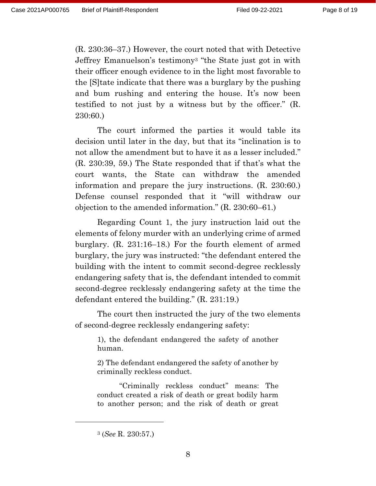(R. 230:36–37.) However, the court noted that with Detective Jeffrey Emanuelson's testimony<sup>3</sup> "the State just got in with their officer enough evidence to in the light most favorable to the [S]tate indicate that there was a burglary by the pushing and bum rushing and entering the house. It's now been testified to not just by a witness but by the officer." (R. 230:60.)

The court informed the parties it would table its decision until later in the day, but that its "inclination is to not allow the amendment but to have it as a lesser included." (R. 230:39, 59.) The State responded that if that's what the court wants, the State can withdraw the amended information and prepare the jury instructions. (R. 230:60.) Defense counsel responded that it "will withdraw our objection to the amended information." (R. 230:60–61.)

Regarding Count 1, the jury instruction laid out the elements of felony murder with an underlying crime of armed burglary. (R. 231:16–18.) For the fourth element of armed burglary, the jury was instructed: "the defendant entered the building with the intent to commit second-degree recklessly endangering safety that is, the defendant intended to commit second-degree recklessly endangering safety at the time the defendant entered the building." (R. 231:19.)

The court then instructed the jury of the two elements of second-degree recklessly endangering safety:

1), the defendant endangered the safety of another human.

2) The defendant endangered the safety of another by criminally reckless conduct.

"Criminally reckless conduct" means: The conduct created a risk of death or great bodily harm to another person; and the risk of death or great

<sup>3</sup> (*See* R. 230:57.)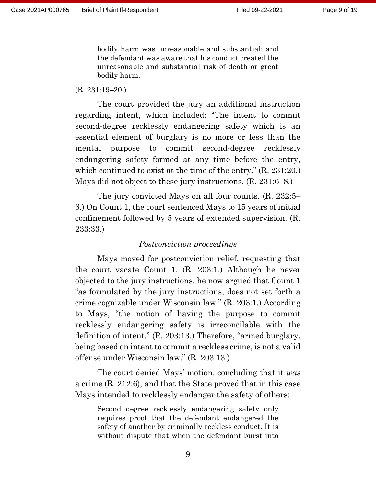bodily harm was unreasonable and substantial; and the defendant was aware that his conduct created the unreasonable and substantial risk of death or great bodily harm.

#### (R. 231:19–20.)

The court provided the jury an additional instruction regarding intent, which included: "The intent to commit second-degree recklessly endangering safety which is an essential element of burglary is no more or less than the mental purpose to commit second-degree recklessly endangering safety formed at any time before the entry, which continued to exist at the time of the entry." (R. 231:20.) Mays did not object to these jury instructions. (R. 231:6–8.)

The jury convicted Mays on all four counts. (R. 232:5– 6.) On Count 1, the court sentenced Mays to 15 years of initial confinement followed by 5 years of extended supervision. (R. 233:33.)

### *Postconviction proceedings*

Mays moved for postconviction relief, requesting that the court vacate Count 1. (R. 203:1.) Although he never objected to the jury instructions, he now argued that Count 1 "as formulated by the jury instructions, does not set forth a crime cognizable under Wisconsin law." (R. 203:1.) According to Mays, "the notion of having the purpose to commit recklessly endangering safety is irreconcilable with the definition of intent." (R. 203:13.) Therefore, "armed burglary, being based on intent to commit a reckless crime, is not a valid offense under Wisconsin law." (R. 203:13.)

The court denied Mays' motion, concluding that it *was* a crime (R. 212:6), and that the State proved that in this case Mays intended to recklessly endanger the safety of others:

Second degree recklessly endangering safety only requires proof that the defendant endangered the safety of another by criminally reckless conduct. It is without dispute that when the defendant burst into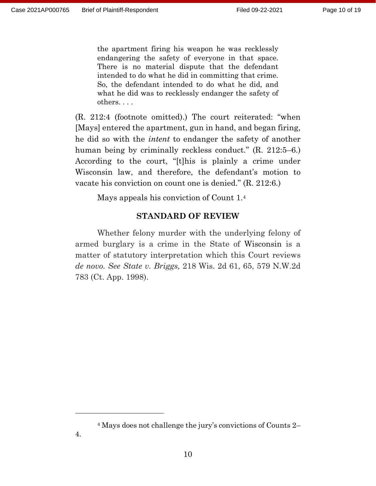the apartment firing his weapon he was recklessly endangering the safety of everyone in that space. There is no material dispute that the defendant intended to do what he did in committing that crime. So, the defendant intended to do what he did, and what he did was to recklessly endanger the safety of others. . . .

(R. 212:4 (footnote omitted).) The court reiterated: "when [Mays] entered the apartment, gun in hand, and began firing, he did so with the *intent* to endanger the safety of another human being by criminally reckless conduct." (R. 212:5–6.) According to the court, "[t]his is plainly a crime under Wisconsin law, and therefore, the defendant's motion to vacate his conviction on count one is denied." (R. 212:6.)

Mays appeals his conviction of Count 1.<sup>4</sup>

## **STANDARD OF REVIEW**

Whether felony murder with the underlying felony of armed burglary is a crime in the State of Wisconsin is a matter of statutory interpretation which this Court reviews *de novo. See State v. Briggs,* 218 Wis. 2d 61, 65, 579 N.W.2d 783 (Ct. App. 1998).

<sup>4</sup> Mays does not challenge the jury's convictions of Counts 2– 4.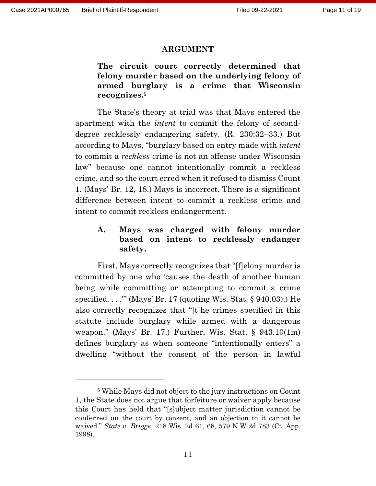#### **ARGUMENT**

**The circuit court correctly determined that felony murder based on the underlying felony of armed burglary is a crime that Wisconsin recognizes.<sup>5</sup>**

The State's theory at trial was that Mays entered the apartment with the *intent* to commit the felony of seconddegree recklessly endangering safety. (R. 230:32–33.) But according to Mays, "burglary based on entry made with *intent*  to commit a *reckless* crime is not an offense under Wisconsin law" because one cannot intentionally commit a reckless crime, and so the court erred when it refused to dismiss Count 1. (Mays' Br. 12, 18.) Mays is incorrect. There is a significant difference between intent to commit a reckless crime and intent to commit reckless endangerment.

## **A. Mays was charged with felony murder based on intent to recklessly endanger safety.**

First, Mays correctly recognizes that "[f]elony murder is committed by one who 'causes the death of another human being while committing or attempting to commit a crime specified.  $\ldots$ " (Mays' Br. 17 (quoting Wis. Stat. § 940.03).) He also correctly recognizes that "[t]he crimes specified in this statute include burglary while armed with a dangerous weapon." (Mays' Br. 17.) Further, Wis. Stat. § 943.10(1m) defines burglary as when someone "intentionally enters" a dwelling "without the consent of the person in lawful

<sup>5</sup> While Mays did not object to the jury instructions on Count 1, the State does not argue that forfeiture or waiver apply because this Court has held that "[s]ubject matter jurisdiction cannot be conferred on the court by consent, and an objection to it cannot be waived." *State v. Briggs*, 218 Wis. 2d 61, 68, 579 N.W.2d 783 (Ct. App. 1998).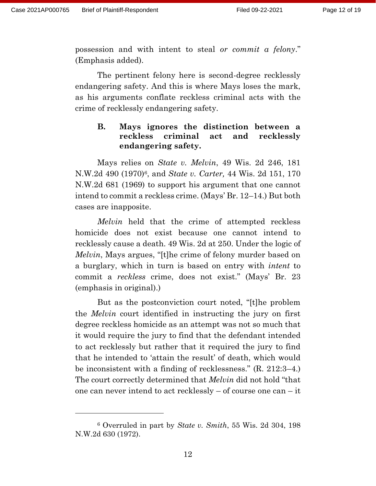possession and with intent to steal *or commit a felony*." (Emphasis added).

The pertinent felony here is second-degree recklessly endangering safety. And this is where Mays loses the mark, as his arguments conflate reckless criminal acts with the crime of recklessly endangering safety.

### **B. Mays ignores the distinction between a reckless criminal act and recklessly endangering safety.**

Mays relies on *State v. Melvin*, 49 Wis. 2d 246, 181 N.W.2d 490 (1970)6, and *State v. Carter,* 44 Wis. 2d 151, 170 N.W.2d 681 (1969) to support his argument that one cannot intend to commit a reckless crime. (Mays' Br. 12–14.) But both cases are inapposite.

*Melvin* held that the crime of attempted reckless homicide does not exist because one cannot intend to recklessly cause a death. 49 Wis. 2d at 250. Under the logic of *Melvin*, Mays argues, "[t]he crime of felony murder based on a burglary, which in turn is based on entry with *intent* to commit a *reckless* crime, does not exist." (Mays' Br. 23 (emphasis in original).)

But as the postconviction court noted, "[t]he problem the *Melvin* court identified in instructing the jury on first degree reckless homicide as an attempt was not so much that it would require the jury to find that the defendant intended to act recklessly but rather that it required the jury to find that he intended to 'attain the result' of death, which would be inconsistent with a finding of recklessness." (R. 212:3–4.) The court correctly determined that *Melvin* did not hold "that one can never intend to act recklessly – of course one can – it

<sup>6</sup> Overruled in part by *State v. Smith*, 55 Wis. 2d 304, 198 N.W.2d 630 (1972).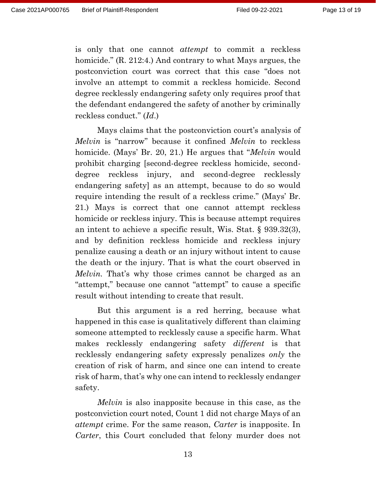is only that one cannot *attempt* to commit a reckless homicide." (R. 212:4.) And contrary to what Mays argues, the postconviction court was correct that this case "does not involve an attempt to commit a reckless homicide. Second degree recklessly endangering safety only requires proof that the defendant endangered the safety of another by criminally reckless conduct." (*Id*.)

Mays claims that the postconviction court's analysis of *Melvin* is "narrow" because it confined *Melvin* to reckless homicide. (Mays' Br. 20, 21.) He argues that "*Melvin* would prohibit charging [second-degree reckless homicide, seconddegree reckless injury, and second-degree recklessly endangering safety] as an attempt, because to do so would require intending the result of a reckless crime." (Mays' Br. 21.) Mays is correct that one cannot attempt reckless homicide or reckless injury. This is because attempt requires an intent to achieve a specific result, Wis. Stat. § 939.32(3), and by definition reckless homicide and reckless injury penalize causing a death or an injury without intent to cause the death or the injury. That is what the court observed in *Melvin.* That's why those crimes cannot be charged as an "attempt," because one cannot "attempt" to cause a specific result without intending to create that result.

But this argument is a red herring, because what happened in this case is qualitatively different than claiming someone attempted to recklessly cause a specific harm. What makes recklessly endangering safety *different* is that recklessly endangering safety expressly penalizes *only* the creation of risk of harm, and since one can intend to create risk of harm, that's why one can intend to recklessly endanger safety.

*Melvin* is also inapposite because in this case, as the postconviction court noted, Count 1 did not charge Mays of an *attempt* crime. For the same reason, *Carter* is inapposite. In *Carter*, this Court concluded that felony murder does not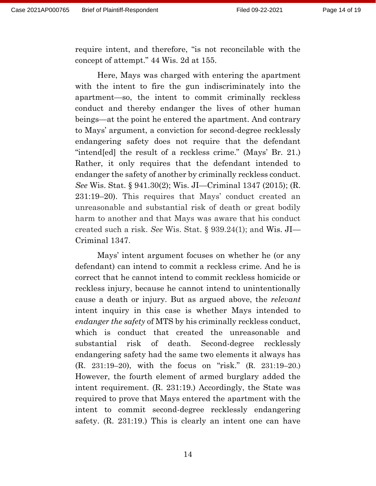require intent, and therefore, "is not reconcilable with the concept of attempt." 44 Wis. 2d at 155.

Here, Mays was charged with entering the apartment with the intent to fire the gun indiscriminately into the apartment—so, the intent to commit criminally reckless conduct and thereby endanger the lives of other human beings—at the point he entered the apartment. And contrary to Mays' argument, a conviction for second-degree recklessly endangering safety does not require that the defendant "intend[ed] the result of a reckless crime." (Mays' Br. 21.) Rather, it only requires that the defendant intended to endanger the safety of another by criminally reckless conduct. *See* Wis. Stat. § 941.30(2); Wis. JI—Criminal 1347 (2015); (R. 231:19–20). This requires that Mays' conduct created an unreasonable and substantial risk of death or great bodily harm to another and that Mays was aware that his conduct created such a risk. *See* Wis. Stat. § 939.24(1); and Wis. JI— Criminal 1347.

Mays' intent argument focuses on whether he (or any defendant) can intend to commit a reckless crime. And he is correct that he cannot intend to commit reckless homicide or reckless injury, because he cannot intend to unintentionally cause a death or injury. But as argued above, the *relevant* intent inquiry in this case is whether Mays intended to *endanger the safety* of MTS by his criminally reckless conduct, which is conduct that created the unreasonable and substantial risk of death. Second-degree recklessly endangering safety had the same two elements it always has (R. 231:19–20), with the focus on "risk." (R. 231:19–20.) However, the fourth element of armed burglary added the intent requirement. (R. 231:19.) Accordingly, the State was required to prove that Mays entered the apartment with the intent to commit second-degree recklessly endangering safety. (R. 231:19.) This is clearly an intent one can have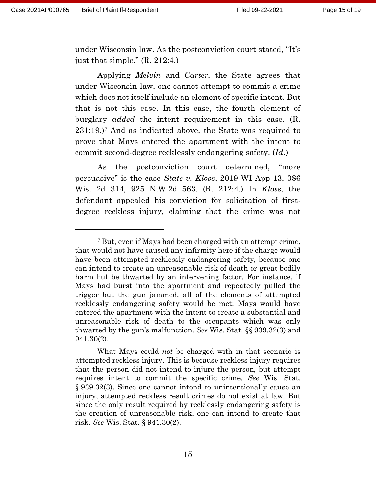under Wisconsin law. As the postconviction court stated, "It's just that simple." (R. 212:4.)

Applying *Melvin* and *Carter*, the State agrees that under Wisconsin law, one cannot attempt to commit a crime which does not itself include an element of specific intent. But that is not this case. In this case, the fourth element of burglary *added* the intent requirement in this case. (R. 231:19.)<sup>7</sup> And as indicated above, the State was required to prove that Mays entered the apartment with the intent to commit second-degree recklessly endangering safety. (*Id*.)

As the postconviction court determined, "more persuasive" is the case *State v. Kloss*, 2019 WI App 13, 386 Wis. 2d 314, 925 N.W.2d 563. (R. 212:4.) In *Kloss*, the defendant appealed his conviction for solicitation of firstdegree reckless injury, claiming that the crime was not

<sup>7</sup> But, even if Mays had been charged with an attempt crime, that would not have caused any infirmity here if the charge would have been attempted recklessly endangering safety, because one can intend to create an unreasonable risk of death or great bodily harm but be thwarted by an intervening factor. For instance, if Mays had burst into the apartment and repeatedly pulled the trigger but the gun jammed, all of the elements of attempted recklessly endangering safety would be met: Mays would have entered the apartment with the intent to create a substantial and unreasonable risk of death to the occupants which was only thwarted by the gun's malfunction. *See* Wis. Stat. §§ 939.32(3) and 941.30(2).

What Mays could *not* be charged with in that scenario is attempted reckless injury. This is because reckless injury requires that the person did not intend to injure the person, but attempt requires intent to commit the specific crime. *See* Wis. Stat. § 939.32(3). Since one cannot intend to unintentionally cause an injury, attempted reckless result crimes do not exist at law. But since the only result required by recklessly endangering safety is the creation of unreasonable risk, one can intend to create that risk. *See* Wis. Stat. § 941.30(2).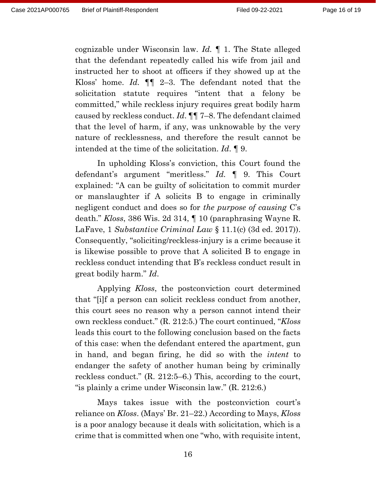cognizable under Wisconsin law. *Id.* ¶ 1. The State alleged that the defendant repeatedly called his wife from jail and instructed her to shoot at officers if they showed up at the Kloss' home. *Id.* ¶¶ 2–3. The defendant noted that the solicitation statute requires "intent that a felony be committed," while reckless injury requires great bodily harm caused by reckless conduct. *Id*. ¶¶ 7–8. The defendant claimed that the level of harm, if any, was unknowable by the very nature of recklessness, and therefore the result cannot be intended at the time of the solicitation. *Id*. ¶ 9.

In upholding Kloss's conviction, this Court found the defendant's argument "meritless." *Id.* ¶ 9. This Court explained: "A can be guilty of solicitation to commit murder or manslaughter if A solicits B to engage in criminally negligent conduct and does so for *the purpose of causing* C's death." *Kloss*, 386 Wis. 2d 314, ¶ 10 (paraphrasing Wayne R. LaFave, 1 *Substantive Criminal Law* § 11.1(c) (3d ed. 2017)). Consequently, "soliciting/reckless-injury is a crime because it is likewise possible to prove that A solicited B to engage in reckless conduct intending that B's reckless conduct result in great bodily harm." *Id*.

Applying *Kloss*, the postconviction court determined that "[i]f a person can solicit reckless conduct from another, this court sees no reason why a person cannot intend their own reckless conduct." (R. 212:5.) The court continued, "*Kloss*  leads this court to the following conclusion based on the facts of this case: when the defendant entered the apartment, gun in hand, and began firing, he did so with the *intent* to endanger the safety of another human being by criminally reckless conduct." (R. 212:5–6.) This, according to the court, "is plainly a crime under Wisconsin law." (R. 212:6.)

Mays takes issue with the postconviction court's reliance on *Kloss*. (Mays' Br. 21–22.) According to Mays, *Kloss*  is a poor analogy because it deals with solicitation, which is a crime that is committed when one "who, with requisite intent,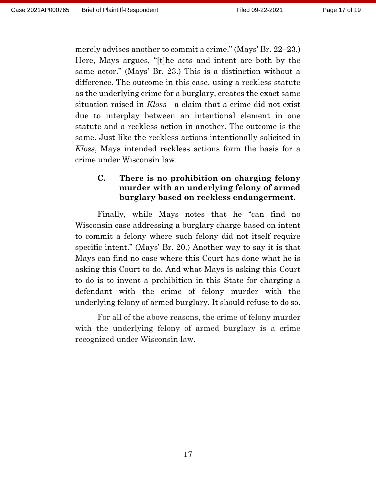merely advises another to commit a crime." (Mays' Br. 22–23.) Here, Mays argues, "[t]he acts and intent are both by the same actor." (Mays' Br. 23.) This is a distinction without a difference. The outcome in this case, using a reckless statute as the underlying crime for a burglary, creates the exact same situation raised in *Kloss*—a claim that a crime did not exist due to interplay between an intentional element in one statute and a reckless action in another. The outcome is the same. Just like the reckless actions intentionally solicited in *Kloss*, Mays intended reckless actions form the basis for a crime under Wisconsin law.

# **C. There is no prohibition on charging felony murder with an underlying felony of armed burglary based on reckless endangerment.**

Finally, while Mays notes that he "can find no Wisconsin case addressing a burglary charge based on intent to commit a felony where such felony did not itself require specific intent." (Mays' Br. 20.) Another way to say it is that Mays can find no case where this Court has done what he is asking this Court to do. And what Mays is asking this Court to do is to invent a prohibition in this State for charging a defendant with the crime of felony murder with the underlying felony of armed burglary. It should refuse to do so.

For all of the above reasons, the crime of felony murder with the underlying felony of armed burglary is a crime recognized under Wisconsin law.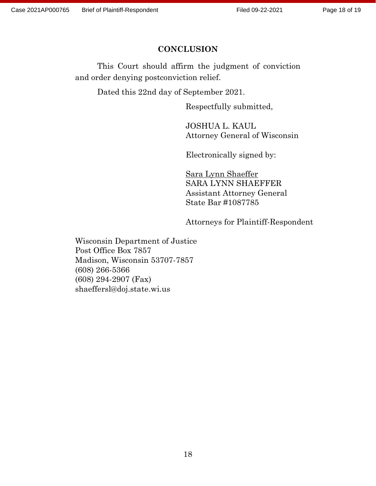### **CONCLUSION**

This Court should affirm the judgment of conviction and order denying postconviction relief.

Dated this 22nd day of September 2021.

Respectfully submitted,

JOSHUA L. KAUL Attorney General of Wisconsin

Electronically signed by:

Sara Lynn Shaeffer SARA LYNN SHAEFFER Assistant Attorney General State Bar #1087785

Attorneys for Plaintiff-Respondent

Wisconsin Department of Justice Post Office Box 7857 Madison, Wisconsin 53707-7857 (608) 266-5366 (608) 294-2907 (Fax) shaeffersl@doj.state.wi.us